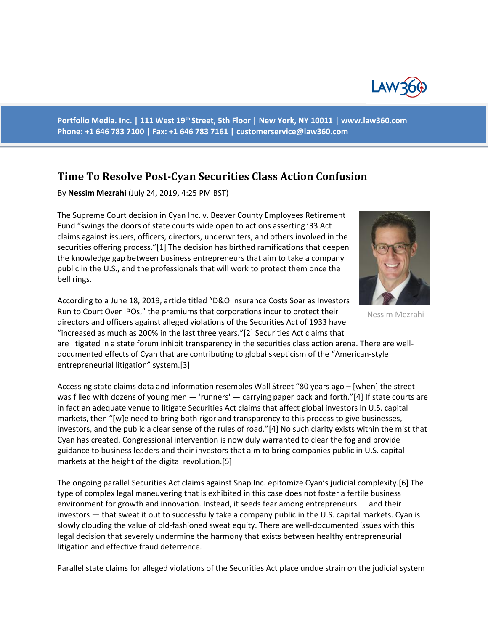

**Portfolio Media. Inc. | 111 West 19th Street, 5th Floor | New York, NY 10011 | www.law360.com Phone: +1 646 783 7100 | Fax: +1 646 783 7161 | customerservice@law360.com**

## **Time To Resolve Post-Cyan Securities Class Action Confusion**

By **Nessim Mezrahi** (July 24, 2019, 4:25 PM BST)

The Supreme Court decision in Cyan Inc. v. Beaver County Employees Retirement Fund "swings the doors of state courts wide open to actions asserting '33 Act claims against issuers, officers, directors, underwriters, and others involved in the securities offering process."[1] The decision has birthed ramifications that deepen the knowledge gap between business entrepreneurs that aim to take a company public in the U.S., and the professionals that will work to protect them once the bell rings.



are litigated in a state forum inhibit transparency in the securities class action arena. There are welldocumented effects of Cyan that are contributing to global skepticism of the "American-style entrepreneurial litigation" system.[3]

Accessing state claims data and information resembles Wall Street "80 years ago – [when] the street was filled with dozens of young men — 'runners' — carrying paper back and forth."[4] If state courts are in fact an adequate venue to litigate Securities Act claims that affect global investors in U.S. capital markets, then "[w]e need to bring both rigor and transparency to this process to give businesses, investors, and the public a clear sense of the rules of road."[4] No such clarity exists within the mist that Cyan has created. Congressional intervention is now duly warranted to clear the fog and provide guidance to business leaders and their investors that aim to bring companies public in U.S. capital markets at the height of the digital revolution.[5]

The ongoing parallel Securities Act claims against Snap Inc. epitomize Cyan's judicial complexity.[6] The type of complex legal maneuvering that is exhibited in this case does not foster a fertile business environment for growth and innovation. Instead, it seeds fear among entrepreneurs — and their investors — that sweat it out to successfully take a company public in the U.S. capital markets. Cyan is slowly clouding the value of old-fashioned sweat equity. There are well-documented issues with this legal decision that severely undermine the harmony that exists between healthy entrepreneurial litigation and effective fraud deterrence.

Parallel state claims for alleged violations of the Securities Act place undue strain on the judicial system



Nessim Mezrahi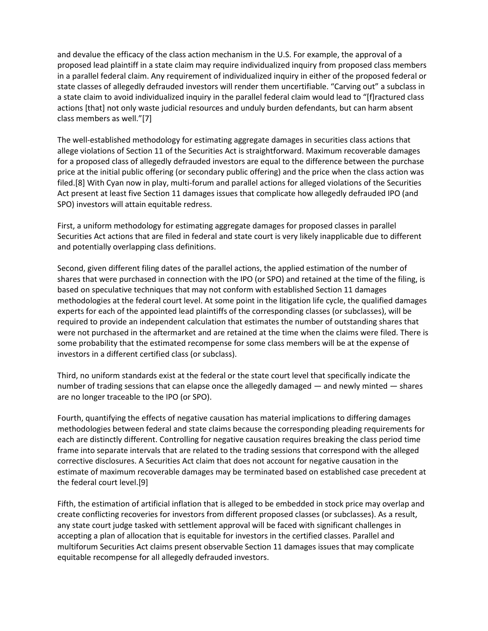and devalue the efficacy of the class action mechanism in the U.S. For example, the approval of a proposed lead plaintiff in a state claim may require individualized inquiry from proposed class members in a parallel federal claim. Any requirement of individualized inquiry in either of the proposed federal or state classes of allegedly defrauded investors will render them uncertifiable. "Carving out" a subclass in a state claim to avoid individualized inquiry in the parallel federal claim would lead to "[f]ractured class actions [that] not only waste judicial resources and unduly burden defendants, but can harm absent class members as well."[7]

The well-established methodology for estimating aggregate damages in securities class actions that allege violations of Section 11 of the Securities Act is straightforward. Maximum recoverable damages for a proposed class of allegedly defrauded investors are equal to the difference between the purchase price at the initial public offering (or secondary public offering) and the price when the class action was filed.[8] With Cyan now in play, multi-forum and parallel actions for alleged violations of the Securities Act present at least five Section 11 damages issues that complicate how allegedly defrauded IPO (and SPO) investors will attain equitable redress.

First, a uniform methodology for estimating aggregate damages for proposed classes in parallel Securities Act actions that are filed in federal and state court is very likely inapplicable due to different and potentially overlapping class definitions.

Second, given different filing dates of the parallel actions, the applied estimation of the number of shares that were purchased in connection with the IPO (or SPO) and retained at the time of the filing, is based on speculative techniques that may not conform with established Section 11 damages methodologies at the federal court level. At some point in the litigation life cycle, the qualified damages experts for each of the appointed lead plaintiffs of the corresponding classes (or subclasses), will be required to provide an independent calculation that estimates the number of outstanding shares that were not purchased in the aftermarket and are retained at the time when the claims were filed. There is some probability that the estimated recompense for some class members will be at the expense of investors in a different certified class (or subclass).

Third, no uniform standards exist at the federal or the state court level that specifically indicate the number of trading sessions that can elapse once the allegedly damaged — and newly minted — shares are no longer traceable to the IPO (or SPO).

Fourth, quantifying the effects of negative causation has material implications to differing damages methodologies between federal and state claims because the corresponding pleading requirements for each are distinctly different. Controlling for negative causation requires breaking the class period time frame into separate intervals that are related to the trading sessions that correspond with the alleged corrective disclosures. A Securities Act claim that does not account for negative causation in the estimate of maximum recoverable damages may be terminated based on established case precedent at the federal court level.[9]

Fifth, the estimation of artificial inflation that is alleged to be embedded in stock price may overlap and create conflicting recoveries for investors from different proposed classes (or subclasses). As a result, any state court judge tasked with settlement approval will be faced with significant challenges in accepting a plan of allocation that is equitable for investors in the certified classes. Parallel and multiforum Securities Act claims present observable Section 11 damages issues that may complicate equitable recompense for all allegedly defrauded investors.